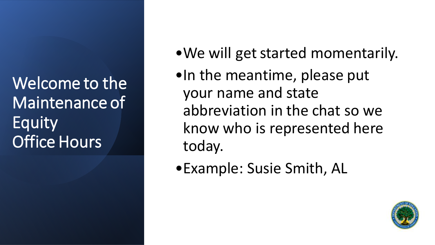Welcome to the Maintenance of Equity Office Hours

- •We will get started momentarily.
- •In the meantime, please put your name and state abbreviation in the chat so we know who is represented here today.
- •Example: Susie Smith, AL

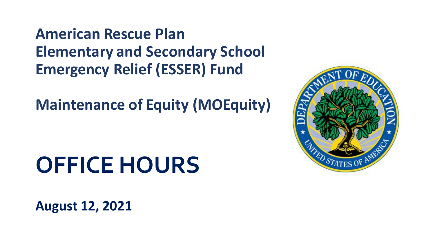**American Rescue Plan Elementary and Secondary School Emergency Relief (ESSER) Fund** 

**Maintenance of Equity (MOEquity)** 

# **OFFICE HOURS**

**August 12, 2021**

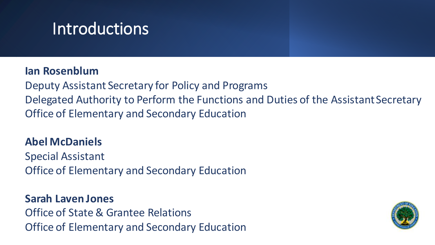## **Introductions**

#### **Ian Rosenblum**

Deputy Assistant Secretary for Policy and Programs Delegated Authority to Perform the Functions and Duties of the Assistant Secretary Office of Elementary and Secondary Education

#### **Abel McDaniels**

Special Assistant Office of Elementary and Secondary Education

**Sarah Laven Jones** Office of State & Grantee Relations Office of Elementary and Secondary Education

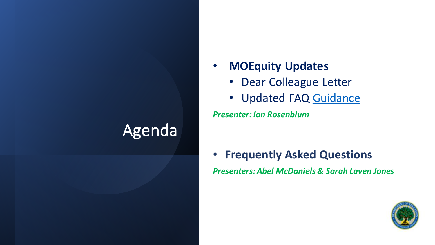## Agenda

- **MOEquity Updates**
	- Dear Colleague Letter
	- Updated FAQ [Guidance](https://oese.ed.gov/files/2021/08/Maintenance-of-Equity-updated-FAQs_final_08.06.2021.pdf)

*Presenter: Ian Rosenblum*

• **Frequently Asked Questions** *Presenters: Abel McDaniels & Sarah Laven Jones*

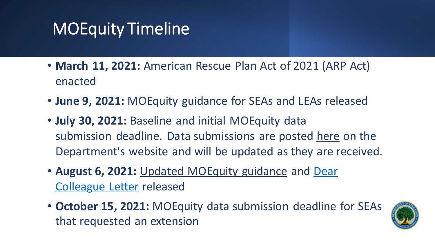## MOEquity Timeline

- **March 11, 2021:** American Rescue Plan Act of 2021 (ARP Act) enacted
- **June 9, 2021:** MOEquity guidance for SEAs and LEAs released
- **July 30, 2021:** Baseline and initial MOEquity data submission deadline. Data submissions are posted [here](https://oese.ed.gov/offices/american-rescue-plan/american-rescue-plan-elementary-and-secondary-school-emergency-relief/maintenance-of-equity/) on the Department's website and will be updated as they are received.
- **August 6, 2021:** [Updated MOEquity](https://oese.ed.gov/files/2021/08/21-006207-MOEquity-DCL-F08-05-2021-SIGNED.pdf) guidance and Dear Colleague Letter released
- **October 15, 2021:** MOEquity data submission deadline for SEAs that requested an extension

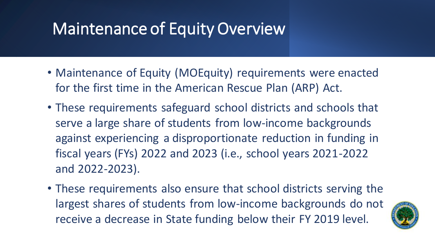## Maintenance of Equity Overview

- Maintenance of Equity (MOEquity) requirements were enacted for the first time in the American Rescue Plan (ARP) Act.
- These requirements safeguard school districts and schools that serve a large share of students from low-income backgrounds against experiencing a disproportionate reduction in funding in fiscal years (FYs) 2022 and 2023 (i.e., school years 2021-2022 and 2022-2023).
- These requirements also ensure that school districts serving the largest shares of students from low-income backgrounds do not receive a decrease in State funding below their FY 2019 level.

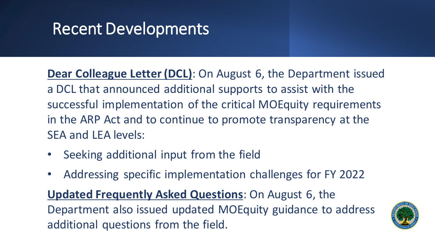## Recent Developments

**Dear Colleague Letter (DCL)**: On August 6, the Department issued a DCL that announced additional supports to assist with the successful implementation of the critical MOEquity requirements in the ARP Act and to continue to promote transparency at the SEA and LEA levels:

- Seeking additional input from the field
- Addressing specific implementation challenges for FY 2022

**Updated Frequently Asked Questions**: On August 6, the Department also issued updated MOEquity guidance to address additional questions from the field.

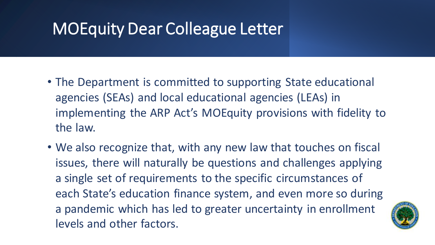## MOEquity Dear Colleague Letter

- The Department is committed to supporting State educational agencies (SEAs) and local educational agencies (LEAs) in implementing the ARP Act's MOEquity provisions with fidelity to the law.
- We also recognize that, with any new law that touches on fiscal issues, there will naturally be questions and challenges applying a single set of requirements to the specific circumstances of each State's education finance system, and even more so during a pandemic which has led to greater uncertainty in enrollment levels and other factors.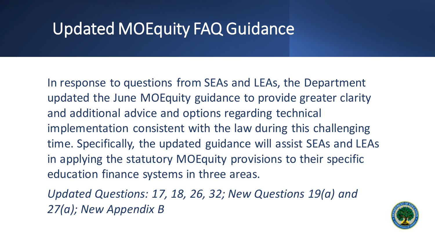## Updated MOEquity FAQ Guidance

In response to questions from SEAs and LEAs, the Department updated the June MOEquity guidance to provide greater clarity and additional advice and options regarding technical implementation consistent with the law during this challenging time. Specifically, the updated guidance will assist SEAs and LEAs in applying the statutory MOEquity provisions to their specific education finance systems in three areas.

*Updated Questions: 17, 18, 26, 32; New Questions 19(a) and 27(a); New Appendix B*

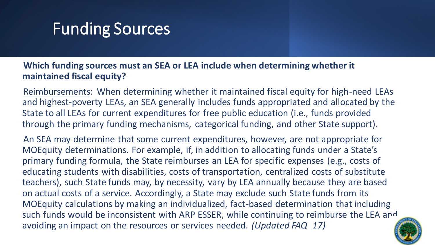## Funding Sources

#### **Which funding sources must an SEA or LEA include when determining whether it maintained fiscal equity?**

Reimbursements: When determining whether it maintained fiscal equity for high-need LEAs and highest-poverty LEAs, an SEA generally includes funds appropriated and allocated by the State to all LEAs for current expenditures for free public education (i.e., funds provided through the primary funding mechanisms, categorical funding, and other State support).

An SEA may determine that some current expenditures, however, are not appropriate for MOEquity determinations. For example, if, in addition to allocating funds under a State's primary funding formula, the State reimburses an LEA for specific expenses (e.g., costs of educating students with disabilities, costs of transportation, centralized costs of substitute teachers), such State funds may, by necessity, vary by LEA annually because they are based on actual costs of a service. Accordingly, a State may exclude such State funds from its MOEquity calculations by making an individualized, fact-based determination that including such funds would be inconsistent with ARP ESSER, while continuing to reimburse the LEA and avoiding an impact on the resources or services needed. *(Updated FAQ 17)*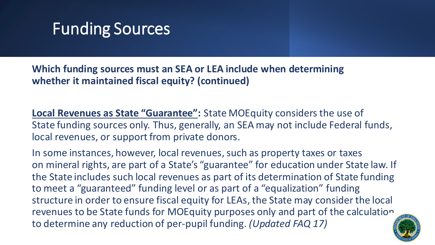## Funding Sources

**Which funding sources must an SEA or LEA include when determining whether it maintained fiscal equity? (continued)**

**Local Revenues as State "Guarantee":** State MOEquity considers the use of State funding sources only. Thus, generally, an SEA may not include Federal funds, local revenues, or support from private donors.

In some instances, however, local revenues, such as property taxes or taxes on mineral rights, are part of a State's "guarantee" for education under State law. If the State includes such local revenues as part of its determination of State funding to meet a "guaranteed" funding level or as part of a "equalization" funding structure in order to ensure fiscal equity for LEAs, the State may consider the local revenues to be State funds for MOEquity purposes only and part of the calculation to determine any reduction of per-pupil funding. *(Updated FAQ 17)*

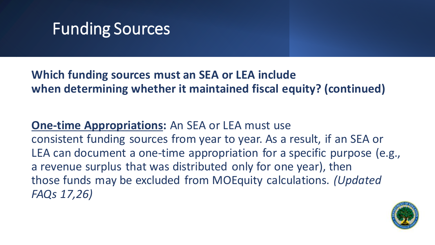

### **Which funding sources must an SEA or LEA include when determining whether it maintained fiscal equity? (continued)**

**One-time Appropriations:** An SEA or LEA must use consistent funding sources from year to year. As a result, if an SEA or LEA can document a one-time appropriation for a specific purpose (e.g., a revenue surplus that was distributed only for one year), then those funds may be excluded from MOEquity calculations. *(Updated FAQs 17,26)*

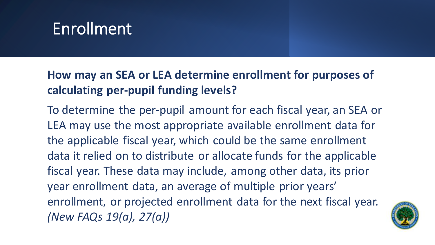## Enrollment

## **How may an SEA or LEA determine enrollment for purposes of calculating per-pupil funding levels?**

To determine the per-pupil amount for each fiscal year, an SEA or LEA may use the most appropriate available enrollment data for the applicable fiscal year, which could be the same enrollment data it relied on to distribute or allocate funds for the applicable fiscal year. These data may include, among other data, its prior year enrollment data, an average of multiple prior years' enrollment, or projected enrollment data for the next fiscal year. *(New FAQs 19(a), 27(a))*

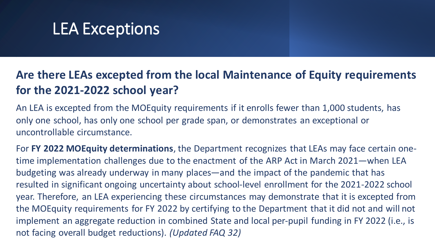## LEA Exceptions

## **Are there LEAs excepted from the local Maintenance of Equity requirements for the 2021-2022 school year?**

An LEA is excepted from the MOEquity requirements if it enrolls fewer than 1,000 students, has only one school, has only one school per grade span, or demonstrates an exceptional or uncontrollable circumstance.

For **FY 2022 MOEquity determinations**, the Department recognizes that LEAs may face certain onetime implementation challenges due to the enactment of the ARP Act in March 2021—when LEA budgeting was already underway in many places—and the impact of the pandemic that has resulted in significant ongoing uncertainty about school-level enrollment for the 2021-2022 school year. Therefore, an LEA experiencing these circumstances may demonstrate that it is excepted from the MOEquity requirements for FY 2022 by certifying to the Department that it did not and will not implement an aggregate reduction in combined State and local per-pupil funding in FY 2022 (i.e., is not facing overall budget reductions). *(Updated FAQ 32)*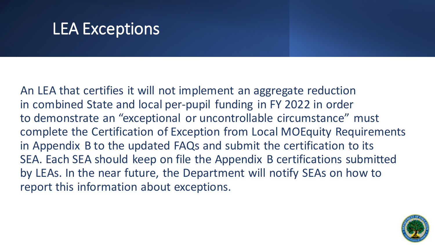## LEA Exceptions

An LEA that certifies it will not implement an aggregate reduction in combined State and local per-pupil funding in FY 2022 in order to demonstrate an "exceptional or uncontrollable circumstance" must complete the Certification of Exception from Local MOEquity Requirements in Appendix B to the updated FAQs and submit the certification to its SEA. Each SEA should keep on file the Appendix B certifications submitted by LEAs. In the near future, the Department will notify SEAs on how to report this information about exceptions.

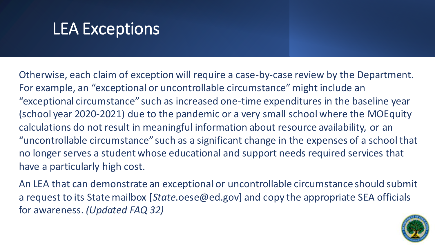## LEA Exceptions

Otherwise, each claim of exception will require a case-by-case review by the Department. For example, an "exceptional or uncontrollable circumstance" might include an "exceptional circumstance" such as increased one-time expenditures in the baseline year (school year 2020-2021) due to the pandemic or a very small school where the MOEquity calculations do not result in meaningful information about resource availability, or an "uncontrollable circumstance" such as a significant change in the expenses of a school that no longer serves a student whose educational and support needs required services that have a particularly high cost.

An LEA that can demonstrate an exceptional or uncontrollable circumstance should submit a request to its State mailbox [*State*.oese@ed.gov] and copy the appropriate SEA officials for awareness. *(Updated FAQ 32)*

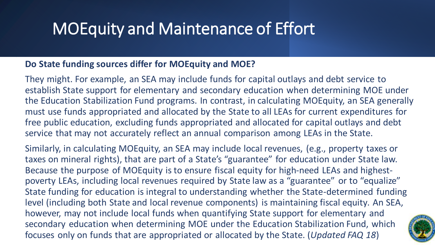## MOEquity and Maintenance of Effort

#### **Do State funding sources differ for MOEquity and MOE?**

They might. For example, an SEA may include funds for capital outlays and debt service to establish State support for elementary and secondary education when determining MOE under the Education Stabilization Fund programs. In contrast, in calculating MOEquity, an SEA generally must use funds appropriated and allocated by the State to all LEAs for current expenditures for free public education, excluding funds appropriated and allocated for capital outlays and debt service that may not accurately reflect an annual comparison among LEAs in the State.

Similarly, in calculating MOEquity, an SEA may include local revenues, (e.g., property taxes or taxes on mineral rights), that are part of a State's "guarantee" for education under State law. Because the purpose of MOEquity is to ensure fiscal equity for high-need LEAs and highestpoverty LEAs, including local revenues required by State law as a "guarantee" or to "equalize" State funding for education is integral to understanding whether the State-determined funding level (including both State and local revenue components) is maintaining fiscal equity. An SEA, however, may not include local funds when quantifying State support for elementary and secondary education when determining MOE under the Education Stabilization Fund, which focuses only on funds that are appropriated or allocated by the State. (*Updated FAQ 18*)

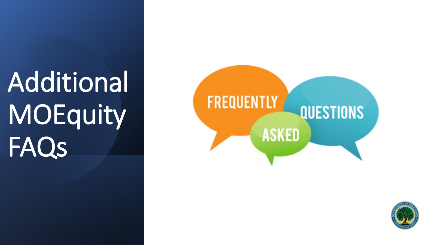# Additional **MOEquity** FAQs

# **FREQUENTLY QUESTIONS ASKED**

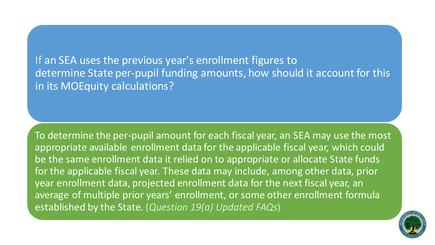If an SEA uses the previous year's enrollment figures to determine State per-pupil funding amounts, how should it account for this in its MOEquity calculations?

To determine the per-pupil amount for each fiscal year, an SEA may use the most appropriate available enrollment data for the applicable fiscal year, which could be the same enrollment data it relied on to appropriate or allocate State funds for the applicable fiscal year. These data may include, among other data, prior year enrollment data, projected enrollment data for the next fiscal year, an average of multiple prior years' enrollment, or some other enrollment formula established by the State. (*Question 19(a) Updated FAQs*)

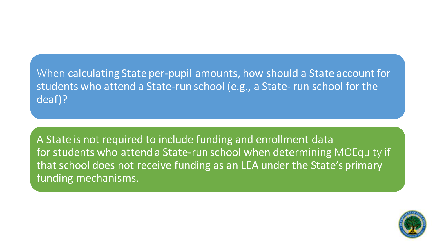### When calculating State per-pupil amounts, how should a State account for students who attend a State-run school (e.g., a State- run school for the deaf)?

A State is not required to include funding and enrollment data for students who attend a State-run school when determining MOEquity if that school does not receive funding as an LEA under the State's primary funding mechanisms.

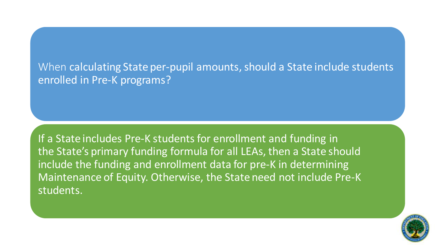### When calculating State per-pupil amounts, should a State include students enrolled in Pre-K programs?

If a State includes Pre-K students for enrollment and funding in the State's primary funding formula for all LEAs, then a State should include the funding and enrollment data for pre-K in determining Maintenance of Equity. Otherwise, the State need not include Pre-K students.

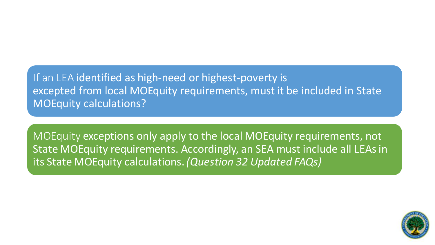If an LEA identified as high-need or highest-poverty is excepted from local MOEquity requirements, must it be included in State MOEquity calculations?

MOEquity exceptions only apply to the local MOEquity requirements, not State MOEquity requirements. Accordingly, an SEA must include all LEAs in its State MOEquity calculations.*(Question 32 Updated FAQs)*

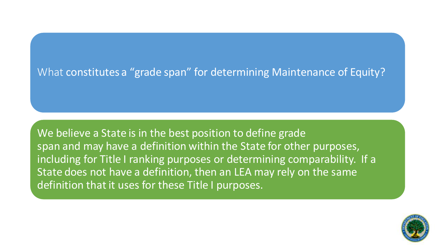#### What constitutes a "grade span" for determining Maintenance of Equity?

We believe a State is in the best position to define grade span and may have a definition within the State for other purposes, including for Title I ranking purposes or determining comparability. If a State does not have a definition, then an LEA may rely on the same definition that it uses for these Title I purposes.

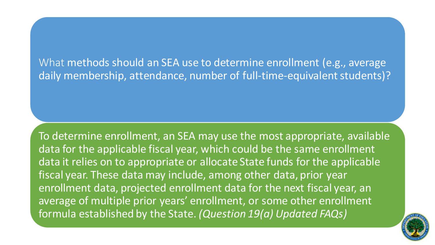What methods should an SEA use to determine enrollment (e.g., average daily membership, attendance, number of full-time-equivalent students)?

To determine enrollment, an SEA may use the most appropriate, available data for the applicable fiscal year, which could be the same enrollment data it relies on to appropriate or allocate State funds for the applicable fiscal year. These data may include, among other data, prior year enrollment data, projected enrollment data for the next fiscal year, an average of multiple prior years' enrollment, or some other enrollment formula established by the State. *(Question 19(a) Updated FAQs)*

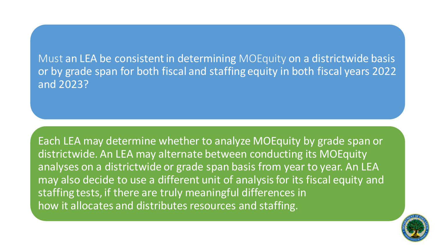Must an LEA be consistent in determining MOEquity on a districtwide basis or by grade span for both fiscal and staffing equity in both fiscal years 2022 and 2023?

Each LEA may determine whether to analyze MOEquity by grade span or districtwide. An LEA may alternate between conducting its MOEquity analyses on a districtwide or grade span basis from year to year. An LEA may also decide to use a different unit of analysis for its fiscal equity and staffing tests, if there are truly meaningful differences in how it allocates and distributes resources and staffing.

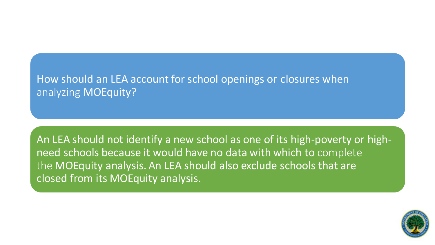#### How should an LEA account for school openings or closures when analyzing **MOEquity?**

An LEA should not identify a new school as one of its high-poverty or highneed schools because it would have no data with which to complete the MOEquity analysis. An LEA should also exclude schools that are closed from its MOEquity analysis.

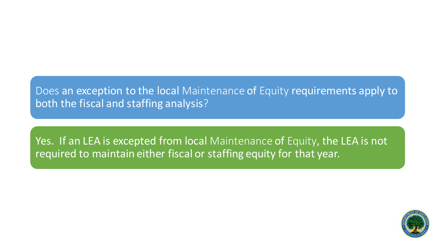Does an exception to the local Maintenance of Equity requirements apply to both the fiscal and staffing analysis?

Yes. If an LEA is excepted from local Maintenance of Equity, the LEA is not required to maintain either fiscal or staffing equity for that year.

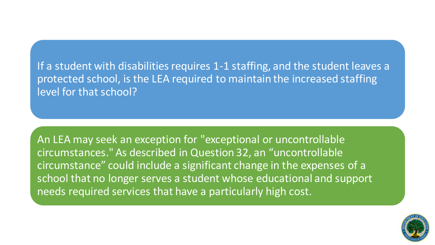If a student with disabilities requires 1-1 staffing, and the student leaves a protected school, is the LEA required to maintain the increased staffing level for that school?

An LEA may seek an exception for "exceptional or uncontrollable circumstances." As described in Question 32, an "uncontrollable circumstance" could include a significant change in the expenses of a school that no longer serves a student whose educational and support needs required services that have a particularly high cost.

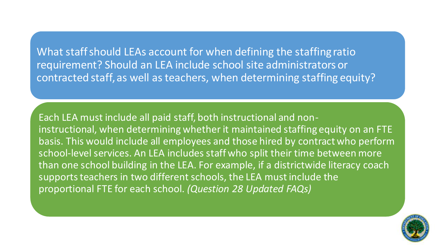What staff should LEAs account for when defining the staffing ratio requirement? Should an LEA include school site administrators or contracted staff, as well as teachers, when determining staffing equity?

Each LEA must include all paid staff, both instructional and noninstructional, when determining whether it maintained staffing equity on an FTE basis. This would include all employees and those hired by contract who perform school-level services. An LEA includes staff who split their time between more than one school building in the LEA. For example, if a districtwide literacy coach supports teachers in two different schools, the LEA must include the proportional FTE for each school. *(Question 28 Updated FAQs)*

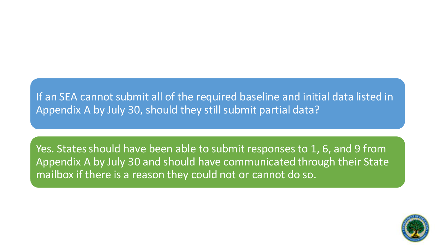#### If an SEA cannot submit all of the required baseline and initial data listed in Appendix A by July 30, should they still submit partial data?

Yes. States should have been able to submit responses to 1, 6, and 9 from Appendix A by July 30 and should have communicated through their State mailbox if there is a reason they could not or cannot do so.

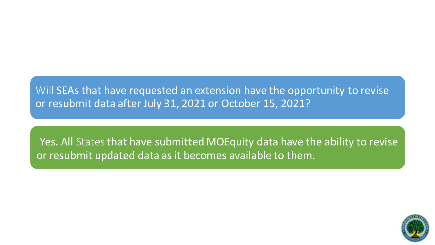Will SEAs that have requested an extension have the opportunity to revise or resubmit data after July 31, 2021 or October 15, 2021?

Yes. All States that have submitted MOEquity data have the ability to revise or resubmit updated data as it becomes available to them.

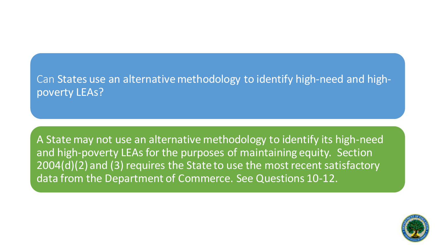#### Can States use an alternative methodology to identify high-need and highpoverty LEAs?

A State may not use an alternative methodology to identify its high-need and high-poverty LEAs for the purposes of maintaining equity. Section 2004(d)(2) and (3) requires the State to use the most recent satisfactory data from the Department of Commerce. See Questions 10-12.